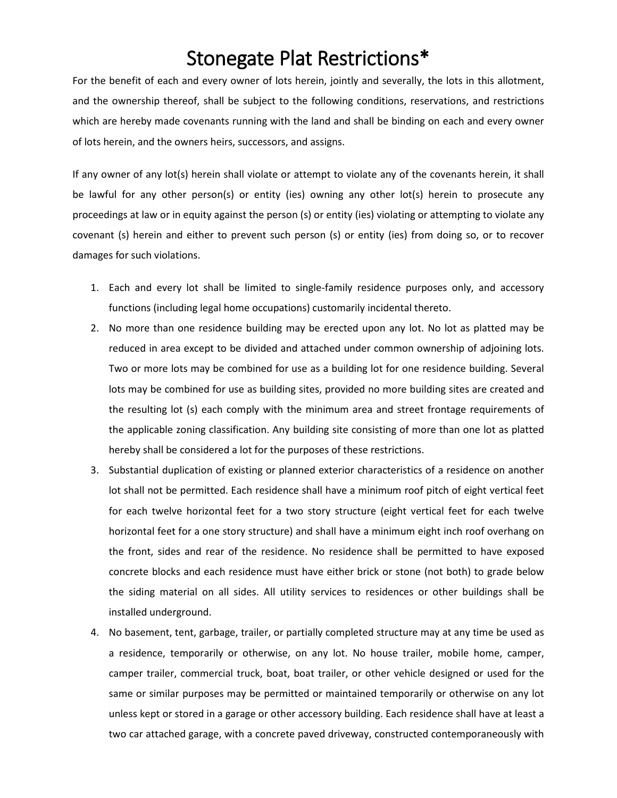## Stonegate Plat Restrictions\*

For the benefit of each and every owner of lots herein, jointly and severally, the lots in this allotment, and the ownership thereof, shall be subject to the following conditions, reservations, and restrictions which are hereby made covenants running with the land and shall be binding on each and every owner of lots herein, and the owners heirs, successors, and assigns.

If any owner of any lot(s) herein shall violate or attempt to violate any of the covenants herein, it shall be lawful for any other person(s) or entity (ies) owning any other lot(s) herein to prosecute any proceedings at law or in equity against the person (s) or entity (ies) violating or attempting to violate any covenant (s) herein and either to prevent such person (s) or entity (ies) from doing so, or to recover damages for such violations.

- 1. Each and every lot shall be limited to single-family residence purposes only, and accessory functions (including legal home occupations) customarily incidental thereto.
- 2. No more than one residence building may be erected upon any lot. No lot as platted may be reduced in area except to be divided and attached under common ownership of adjoining lots. Two or more lots may be combined for use as a building lot for one residence building. Several lots may be combined for use as building sites, provided no more building sites are created and the resulting lot (s) each comply with the minimum area and street frontage requirements of the applicable zoning classification. Any building site consisting of more than one lot as platted hereby shall be considered a lot for the purposes of these restrictions.
- 3. Substantial duplication of existing or planned exterior characteristics of a residence on another lot shall not be permitted. Each residence shall have a minimum roof pitch of eight vertical feet for each twelve horizontal feet for a two story structure (eight vertical feet for each twelve horizontal feet for a one story structure) and shall have a minimum eight inch roof overhang on the front, sides and rear of the residence. No residence shall be permitted to have exposed concrete blocks and each residence must have either brick or stone (not both) to grade below the siding material on all sides. All utility services to residences or other buildings shall be installed underground.
- 4. No basement, tent, garbage, trailer, or partially completed structure may at any time be used as a residence, temporarily or otherwise, on any lot. No house trailer, mobile home, camper, camper trailer, commercial truck, boat, boat trailer, or other vehicle designed or used for the same or similar purposes may be permitted or maintained temporarily or otherwise on any lot unless kept or stored in a garage or other accessory building. Each residence shall have at least a two car attached garage, with a concrete paved driveway, constructed contemporaneously with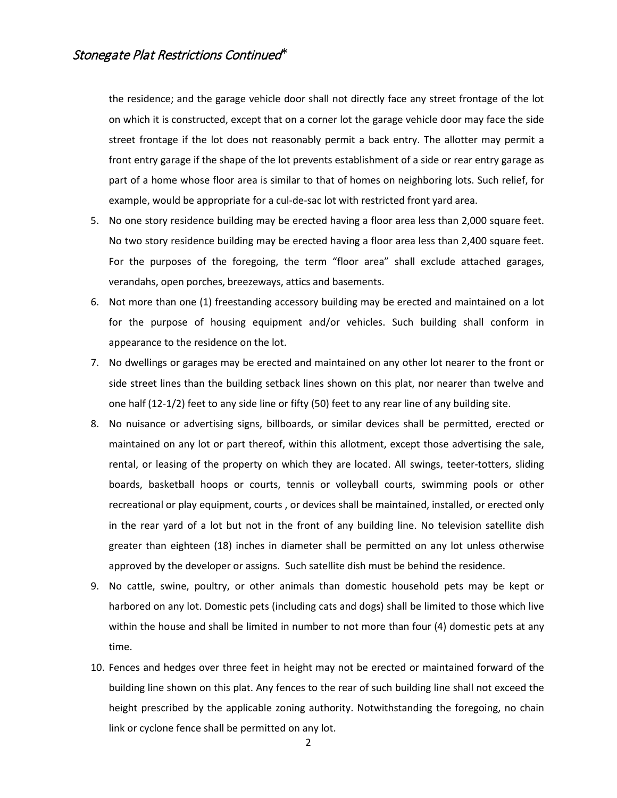the residence; and the garage vehicle door shall not directly face any street frontage of the lot on which it is constructed, except that on a corner lot the garage vehicle door may face the side street frontage if the lot does not reasonably permit a back entry. The allotter may permit a front entry garage if the shape of the lot prevents establishment of a side or rear entry garage as part of a home whose floor area is similar to that of homes on neighboring lots. Such relief, for example, would be appropriate for a cul-de-sac lot with restricted front yard area.

- 5. No one story residence building may be erected having a floor area less than 2,000 square feet. No two story residence building may be erected having a floor area less than 2,400 square feet. For the purposes of the foregoing, the term "floor area" shall exclude attached garages, verandahs, open porches, breezeways, attics and basements.
- 6. Not more than one (1) freestanding accessory building may be erected and maintained on a lot for the purpose of housing equipment and/or vehicles. Such building shall conform in appearance to the residence on the lot.
- 7. No dwellings or garages may be erected and maintained on any other lot nearer to the front or side street lines than the building setback lines shown on this plat, nor nearer than twelve and one half (12-1/2) feet to any side line or fifty (50) feet to any rear line of any building site.
- 8. No nuisance or advertising signs, billboards, or similar devices shall be permitted, erected or maintained on any lot or part thereof, within this allotment, except those advertising the sale, rental, or leasing of the property on which they are located. All swings, teeter-totters, sliding boards, basketball hoops or courts, tennis or volleyball courts, swimming pools or other recreational or play equipment, courts , or devices shall be maintained, installed, or erected only in the rear yard of a lot but not in the front of any building line. No television satellite dish greater than eighteen (18) inches in diameter shall be permitted on any lot unless otherwise approved by the developer or assigns. Such satellite dish must be behind the residence.
- 9. No cattle, swine, poultry, or other animals than domestic household pets may be kept or harbored on any lot. Domestic pets (including cats and dogs) shall be limited to those which live within the house and shall be limited in number to not more than four (4) domestic pets at any time.
- 10. Fences and hedges over three feet in height may not be erected or maintained forward of the building line shown on this plat. Any fences to the rear of such building line shall not exceed the height prescribed by the applicable zoning authority. Notwithstanding the foregoing, no chain link or cyclone fence shall be permitted on any lot.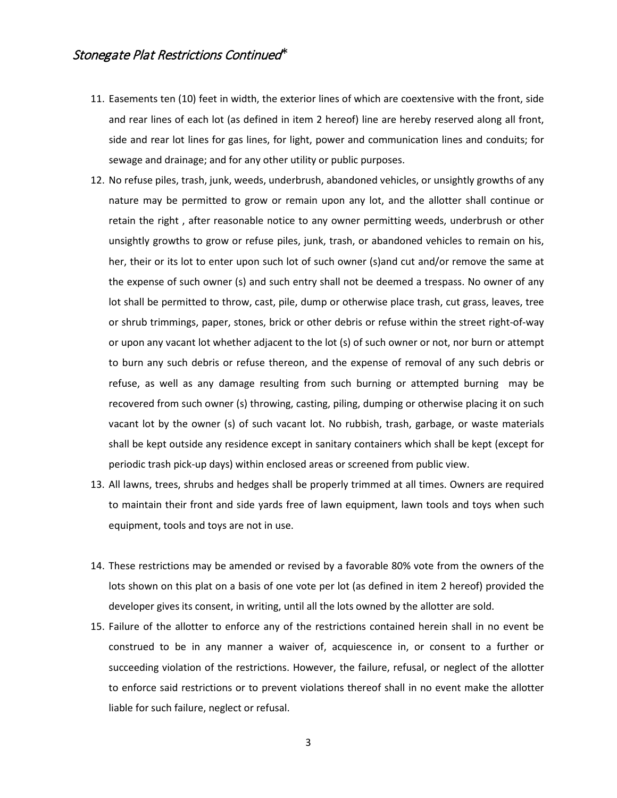- 11. Easements ten (10) feet in width, the exterior lines of which are coextensive with the front, side and rear lines of each lot (as defined in item 2 hereof) line are hereby reserved along all front, side and rear lot lines for gas lines, for light, power and communication lines and conduits; for sewage and drainage; and for any other utility or public purposes.
- 12. No refuse piles, trash, junk, weeds, underbrush, abandoned vehicles, or unsightly growths of any nature may be permitted to grow or remain upon any lot, and the allotter shall continue or retain the right , after reasonable notice to any owner permitting weeds, underbrush or other unsightly growths to grow or refuse piles, junk, trash, or abandoned vehicles to remain on his, her, their or its lot to enter upon such lot of such owner (s)and cut and/or remove the same at the expense of such owner (s) and such entry shall not be deemed a trespass. No owner of any lot shall be permitted to throw, cast, pile, dump or otherwise place trash, cut grass, leaves, tree or shrub trimmings, paper, stones, brick or other debris or refuse within the street right-of-way or upon any vacant lot whether adjacent to the lot (s) of such owner or not, nor burn or attempt to burn any such debris or refuse thereon, and the expense of removal of any such debris or refuse, as well as any damage resulting from such burning or attempted burning may be recovered from such owner (s) throwing, casting, piling, dumping or otherwise placing it on such vacant lot by the owner (s) of such vacant lot. No rubbish, trash, garbage, or waste materials shall be kept outside any residence except in sanitary containers which shall be kept (except for periodic trash pick-up days) within enclosed areas or screened from public view.
- 13. All lawns, trees, shrubs and hedges shall be properly trimmed at all times. Owners are required to maintain their front and side yards free of lawn equipment, lawn tools and toys when such equipment, tools and toys are not in use.
- 14. These restrictions may be amended or revised by a favorable 80% vote from the owners of the lots shown on this plat on a basis of one vote per lot (as defined in item 2 hereof) provided the developer gives its consent, in writing, until all the lots owned by the allotter are sold.
- 15. Failure of the allotter to enforce any of the restrictions contained herein shall in no event be construed to be in any manner a waiver of, acquiescence in, or consent to a further or succeeding violation of the restrictions. However, the failure, refusal, or neglect of the allotter to enforce said restrictions or to prevent violations thereof shall in no event make the allotter liable for such failure, neglect or refusal.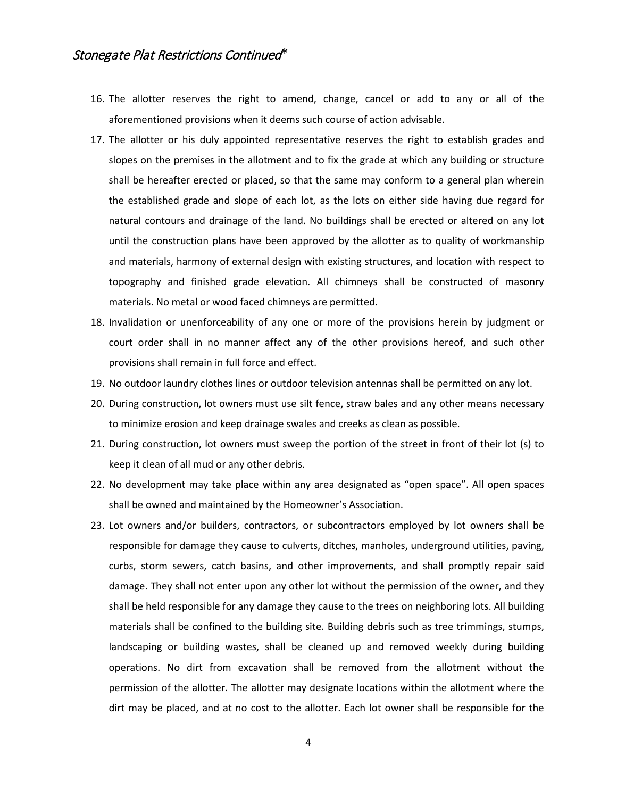- 16. The allotter reserves the right to amend, change, cancel or add to any or all of the aforementioned provisions when it deems such course of action advisable.
- 17. The allotter or his duly appointed representative reserves the right to establish grades and slopes on the premises in the allotment and to fix the grade at which any building or structure shall be hereafter erected or placed, so that the same may conform to a general plan wherein the established grade and slope of each lot, as the lots on either side having due regard for natural contours and drainage of the land. No buildings shall be erected or altered on any lot until the construction plans have been approved by the allotter as to quality of workmanship and materials, harmony of external design with existing structures, and location with respect to topography and finished grade elevation. All chimneys shall be constructed of masonry materials. No metal or wood faced chimneys are permitted.
- 18. Invalidation or unenforceability of any one or more of the provisions herein by judgment or court order shall in no manner affect any of the other provisions hereof, and such other provisions shall remain in full force and effect.
- 19. No outdoor laundry clothes lines or outdoor television antennas shall be permitted on any lot.
- 20. During construction, lot owners must use silt fence, straw bales and any other means necessary to minimize erosion and keep drainage swales and creeks as clean as possible.
- 21. During construction, lot owners must sweep the portion of the street in front of their lot (s) to keep it clean of all mud or any other debris.
- 22. No development may take place within any area designated as "open space". All open spaces shall be owned and maintained by the Homeowner's Association.
- 23. Lot owners and/or builders, contractors, or subcontractors employed by lot owners shall be responsible for damage they cause to culverts, ditches, manholes, underground utilities, paving, curbs, storm sewers, catch basins, and other improvements, and shall promptly repair said damage. They shall not enter upon any other lot without the permission of the owner, and they shall be held responsible for any damage they cause to the trees on neighboring lots. All building materials shall be confined to the building site. Building debris such as tree trimmings, stumps, landscaping or building wastes, shall be cleaned up and removed weekly during building operations. No dirt from excavation shall be removed from the allotment without the permission of the allotter. The allotter may designate locations within the allotment where the dirt may be placed, and at no cost to the allotter. Each lot owner shall be responsible for the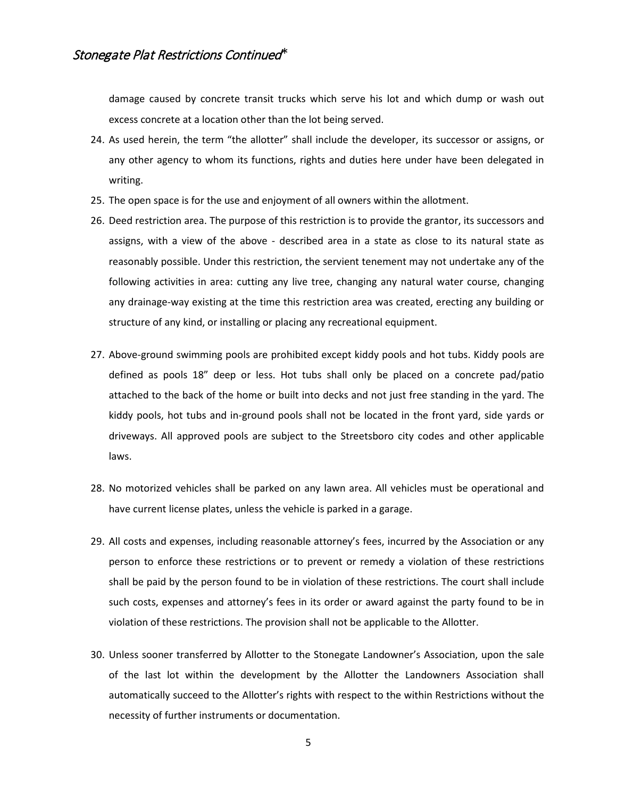damage caused by concrete transit trucks which serve his lot and which dump or wash out excess concrete at a location other than the lot being served.

- 24. As used herein, the term "the allotter" shall include the developer, its successor or assigns, or any other agency to whom its functions, rights and duties here under have been delegated in writing.
- 25. The open space is for the use and enjoyment of all owners within the allotment.
- 26. Deed restriction area. The purpose of this restriction is to provide the grantor, its successors and assigns, with a view of the above - described area in a state as close to its natural state as reasonably possible. Under this restriction, the servient tenement may not undertake any of the following activities in area: cutting any live tree, changing any natural water course, changing any drainage-way existing at the time this restriction area was created, erecting any building or structure of any kind, or installing or placing any recreational equipment.
- 27. Above-ground swimming pools are prohibited except kiddy pools and hot tubs. Kiddy pools are defined as pools 18" deep or less. Hot tubs shall only be placed on a concrete pad/patio attached to the back of the home or built into decks and not just free standing in the yard. The kiddy pools, hot tubs and in-ground pools shall not be located in the front yard, side yards or driveways. All approved pools are subject to the Streetsboro city codes and other applicable laws.
- 28. No motorized vehicles shall be parked on any lawn area. All vehicles must be operational and have current license plates, unless the vehicle is parked in a garage.
- 29. All costs and expenses, including reasonable attorney's fees, incurred by the Association or any person to enforce these restrictions or to prevent or remedy a violation of these restrictions shall be paid by the person found to be in violation of these restrictions. The court shall include such costs, expenses and attorney's fees in its order or award against the party found to be in violation of these restrictions. The provision shall not be applicable to the Allotter.
- 30. Unless sooner transferred by Allotter to the Stonegate Landowner's Association, upon the sale of the last lot within the development by the Allotter the Landowners Association shall automatically succeed to the Allotter's rights with respect to the within Restrictions without the necessity of further instruments or documentation.